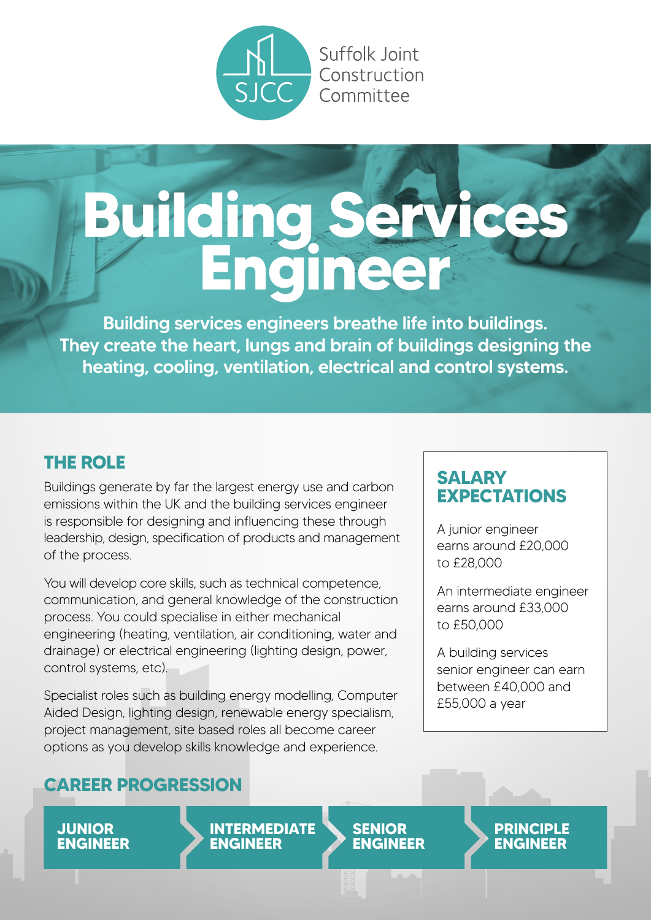

Suffolk Joint

# **Building Services Engineer**

Building services engineers breathe life into buildings. They create the heart, lungs and brain of buildings designing the heating, cooling, ventilation, electrical and control systems.

# **THE ROLE**

Buildings generate by far the largest energy use and carbon emissions within the UK and the building services engineer is responsible for designing and influencing these through leadership, design, specification of products and management of the process.

You will develop core skills, such as technical competence, communication, and general knowledge of the construction process. You could specialise in either mechanical engineering (heating, ventilation, air conditioning, water and drainage) or electrical engineering (lighting design, power, control systems, etc).

Specialist roles such as building energy modelling, Computer Aided Design, lighting design, renewable energy specialism, project management, site based roles all become career options as you develop skills knowledge and experience.

# **CAREER PROGRESSION**

**JUNIOR ENGINEER**

**INTERMEDIATE ENGINEER**

**SENIOR ENGINEER**

# **SALARY EXPECTATIONS**

A junior engineer earns around £20,000 to £28,000

An intermediate engineer earns around £33,000 to £50,000

A building services senior engineer can earn between £40,000 and £55,000 a year

> **PRINCIPLE ENGINEER**